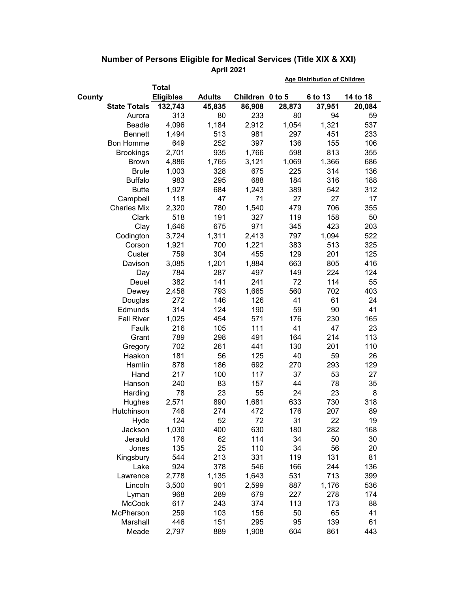|                            |                |               |                 |        |         | <b>Age Distribution of Children</b> |        |  |
|----------------------------|----------------|---------------|-----------------|--------|---------|-------------------------------------|--------|--|
|                            | <b>Total</b>   |               |                 |        |         |                                     |        |  |
| <b>Eligibles</b><br>County |                | <b>Adults</b> | Children 0 to 5 |        | 6 to 13 | 14 to 18                            |        |  |
| <b>State Totals</b>        |                | 132,743       | 45,835          | 86,908 | 28,873  | 37,951                              | 20,084 |  |
|                            | Aurora         | 313           | 80              | 233    | 80      | 94                                  | 59     |  |
|                            | Beadle         | 4,096         | 1,184           | 2,912  | 1,054   | 1,321                               | 537    |  |
|                            | <b>Bennett</b> | 1,494         | 513             | 981    | 297     | 451                                 | 233    |  |
| <b>Bon Homme</b>           |                | 649           | 252             | 397    | 136     | 155                                 | 106    |  |
| <b>Brookings</b>           |                | 2,701         | 935             | 1,766  | 598     | 813                                 | 355    |  |
|                            | <b>Brown</b>   | 4,886         | 1,765           | 3,121  | 1,069   | 1,366                               | 686    |  |
|                            | <b>Brule</b>   | 1,003         | 328             | 675    | 225     | 314                                 | 136    |  |
|                            | <b>Buffalo</b> | 983           | 295             | 688    | 184     | 316                                 | 188    |  |
|                            | <b>Butte</b>   | 1,927         | 684             | 1,243  | 389     | 542                                 | 312    |  |
| Campbell                   |                | 118           | 47              | 71     | 27      | 27                                  | 17     |  |
| <b>Charles Mix</b>         |                | 2,320         | 780             | 1,540  | 479     | 706                                 | 355    |  |
|                            | Clark          | 518           | 191             | 327    | 119     | 158                                 | 50     |  |
|                            | Clay           | 1,646         | 675             | 971    | 345     | 423                                 | 203    |  |
| Codington                  |                | 3,724         | 1,311           | 2,413  | 797     | 1,094                               | 522    |  |
|                            | Corson         | 1,921         | 700             | 1,221  | 383     | 513                                 | 325    |  |
|                            | Custer         | 759           | 304             | 455    | 129     | 201                                 | 125    |  |
|                            | Davison        | 3,085         | 1,201           | 1,884  | 663     | 805                                 | 416    |  |
|                            | Day            | 784           | 287             | 497    | 149     | 224                                 | 124    |  |
|                            | Deuel          | 382           | 141             | 241    | 72      | 114                                 | 55     |  |
|                            | Dewey          | 2,458         | 793             | 1,665  | 560     | 702                                 | 403    |  |
|                            | Douglas        | 272           | 146             | 126    | 41      | 61                                  | 24     |  |
| Edmunds                    |                | 314           | 124             | 190    | 59      | 90                                  | 41     |  |
| <b>Fall River</b>          |                | 1,025         | 454             | 571    | 176     | 230                                 | 165    |  |
|                            | Faulk          | 216           | 105             | 111    | 41      | 47                                  | 23     |  |
|                            | Grant          | 789           | 298             | 491    | 164     | 214                                 | 113    |  |
|                            | Gregory        | 702           | 261             | 441    | 130     | 201                                 | 110    |  |
|                            | Haakon         | 181           | 56              | 125    | 40      | 59                                  | 26     |  |
|                            | Hamlin         | 878           | 186             | 692    | 270     | 293                                 | 129    |  |
|                            | Hand           | 217           | 100             | 117    | 37      | 53                                  | 27     |  |
|                            | Hanson         | 240           | 83              | 157    | 44      | 78                                  | 35     |  |
|                            | Harding        | 78            | 23              | 55     | 24      | 23                                  | 8      |  |
|                            | Hughes         | 2,571         | 890             | 1,681  | 633     | 730                                 | 318    |  |
| Hutchinson                 |                | 746           | 274             | 472    | 176     | 207                                 | 89     |  |
|                            | Hyde           | 124           | 52              | 72     | 31      | 22                                  | 19     |  |
|                            | Jackson        | 1,030         | 400             | 630    | 180     | 282                                 | 168    |  |
|                            | Jerauld        | 176           | 62              | 114    | 34      | 50                                  | 30     |  |
|                            | Jones          | 135           | 25              | 110    | 34      | 56                                  | 20     |  |
| Kingsbury                  |                | 544           | 213             | 331    | 119     | 131                                 | 81     |  |
|                            | Lake           | 924           | 378             | 546    | 166     | 244                                 | 136    |  |
| Lawrence                   |                | 2,778         | 1,135           | 1,643  | 531     | 713                                 | 399    |  |
|                            | Lincoln        | 3,500         | 901             | 2,599  | 887     | 1,176                               | 536    |  |
|                            | Lyman          | 968           | 289             | 679    | 227     | 278                                 | 174    |  |
|                            | <b>McCook</b>  | 617           | 243             | 374    | 113     | 173                                 | 88     |  |
| McPherson                  |                | 259           | 103             | 156    | 50      | 65                                  | 41     |  |
|                            | Marshall       | 446           | 151             | 295    | 95      | 139                                 | 61     |  |
|                            | Meade          | 2,797         | 889             | 1,908  | 604     | 861                                 | 443    |  |

## **Number of Persons Eligible for Medical Services (Title XIX & XXI) April 2021**